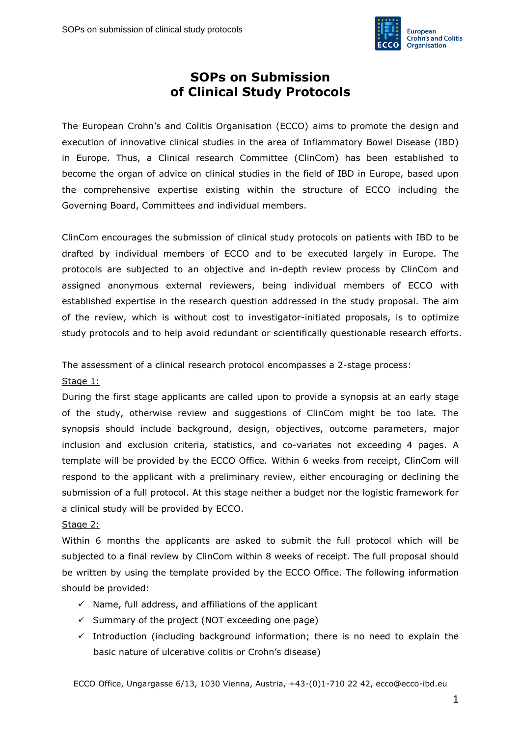

## **SOPs on Submission of Clinical Study Protocols**

The European Crohn's and Colitis Organisation (ECCO) aims to promote the design and execution of innovative clinical studies in the area of Inflammatory Bowel Disease (IBD) in Europe. Thus, a Clinical research Committee (ClinCom) has been established to become the organ of advice on clinical studies in the field of IBD in Europe, based upon the comprehensive expertise existing within the structure of ECCO including the Governing Board, Committees and individual members.

ClinCom encourages the submission of clinical study protocols on patients with IBD to be drafted by individual members of ECCO and to be executed largely in Europe. The protocols are subjected to an objective and in-depth review process by ClinCom and assigned anonymous external reviewers, being individual members of ECCO with established expertise in the research question addressed in the study proposal. The aim of the review, which is without cost to investigator-initiated proposals, is to optimize study protocols and to help avoid redundant or scientifically questionable research efforts.

The assessment of a clinical research protocol encompasses a 2-stage process:

## Stage 1:

During the first stage applicants are called upon to provide a synopsis at an early stage of the study, otherwise review and suggestions of ClinCom might be too late. The synopsis should include background, design, objectives, outcome parameters, major inclusion and exclusion criteria, statistics, and co-variates not exceeding 4 pages. A template will be provided by the ECCO Office. Within 6 weeks from receipt, ClinCom will respond to the applicant with a preliminary review, either encouraging or declining the submission of a full protocol. At this stage neither a budget nor the logistic framework for a clinical study will be provided by ECCO.

## Stage 2:

Within 6 months the applicants are asked to submit the full protocol which will be subjected to a final review by ClinCom within 8 weeks of receipt. The full proposal should be written by using the template provided by the ECCO Office. The following information should be provided:

- $\checkmark$  Name, full address, and affiliations of the applicant
- $\checkmark$  Summary of the project (NOT exceeding one page)
- $\checkmark$  Introduction (including background information; there is no need to explain the basic nature of ulcerative colitis or Crohn's disease)